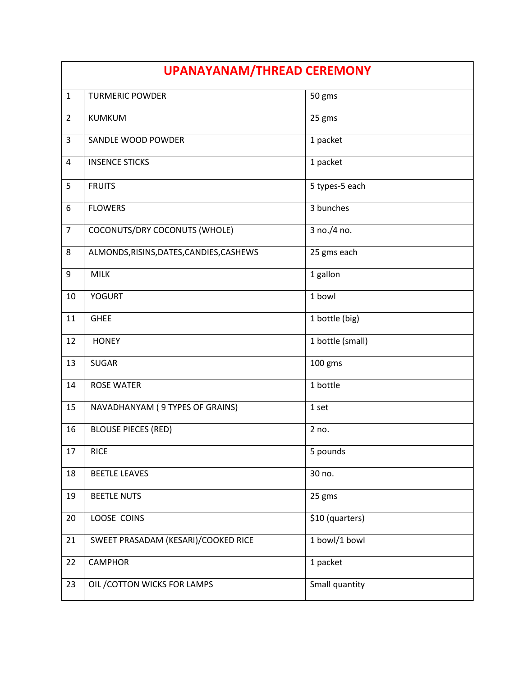| <b>UPANAYANAM/THREAD CEREMONY</b> |                                          |                  |
|-----------------------------------|------------------------------------------|------------------|
| $\mathbf{1}$                      | <b>TURMERIC POWDER</b>                   | 50 gms           |
| $\overline{2}$                    | <b>KUMKUM</b>                            | 25 gms           |
| 3                                 | SANDLE WOOD POWDER                       | 1 packet         |
| 4                                 | <b>INSENCE STICKS</b>                    | 1 packet         |
| 5                                 | <b>FRUITS</b>                            | 5 types-5 each   |
| 6                                 | <b>FLOWERS</b>                           | 3 bunches        |
| $\overline{7}$                    | COCONUTS/DRY COCONUTS (WHOLE)            | 3 no./4 no.      |
| 8                                 | ALMONDS, RISINS, DATES, CANDIES, CASHEWS | 25 gms each      |
| 9                                 | <b>MILK</b>                              | 1 gallon         |
| 10                                | <b>YOGURT</b>                            | 1 bowl           |
| 11                                | <b>GHEE</b>                              | 1 bottle (big)   |
| 12                                | <b>HONEY</b>                             | 1 bottle (small) |
| 13                                | <b>SUGAR</b>                             | 100 gms          |
| 14                                | <b>ROSE WATER</b>                        | 1 bottle         |
| 15                                | NAVADHANYAM (9 TYPES OF GRAINS)          | 1 set            |
| 16                                | <b>BLOUSE PIECES (RED)</b>               | 2 no.            |
| 17                                | <b>RICE</b>                              | 5 pounds         |
| 18                                | <b>BEETLE LEAVES</b>                     | 30 no.           |
| 19                                | <b>BEETLE NUTS</b>                       | 25 gms           |
| 20                                | LOOSE COINS                              | \$10 (quarters)  |
| 21                                | SWEET PRASADAM (KESARI)/COOKED RICE      | 1 bowl/1 bowl    |
| 22                                | <b>CAMPHOR</b>                           | 1 packet         |
| 23                                | OIL / COTTON WICKS FOR LAMPS             | Small quantity   |